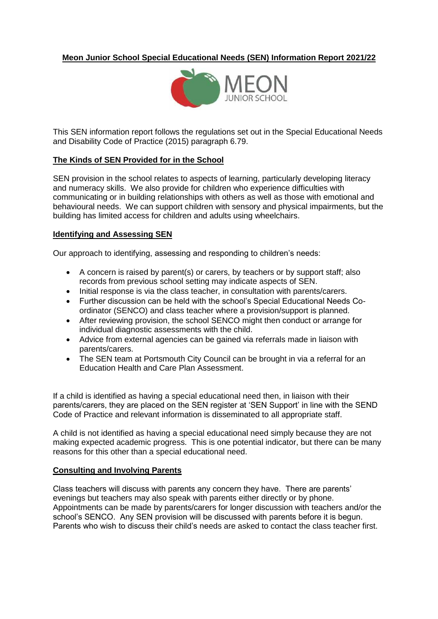# **Meon Junior School Special Educational Needs (SEN) Information Report 2021/22**



This SEN information report follows the regulations set out in the Special Educational Needs and Disability Code of Practice (2015) paragraph 6.79.

#### **The Kinds of SEN Provided for in the School**

SEN provision in the school relates to aspects of learning, particularly developing literacy and numeracy skills. We also provide for children who experience difficulties with communicating or in building relationships with others as well as those with emotional and behavioural needs. We can support children with sensory and physical impairments, but the building has limited access for children and adults using wheelchairs.

#### **Identifying and Assessing SEN**

Our approach to identifying, assessing and responding to children's needs:

- A concern is raised by parent(s) or carers, by teachers or by support staff; also records from previous school setting may indicate aspects of SEN.
- Initial response is via the class teacher, in consultation with parents/carers.
- Further discussion can be held with the school's Special Educational Needs Coordinator (SENCO) and class teacher where a provision/support is planned.
- After reviewing provision, the school SENCO might then conduct or arrange for individual diagnostic assessments with the child.
- Advice from external agencies can be gained via referrals made in liaison with parents/carers.
- The SEN team at Portsmouth City Council can be brought in via a referral for an Education Health and Care Plan Assessment.

If a child is identified as having a special educational need then, in liaison with their parents/carers, they are placed on the SEN register at 'SEN Support' in line with the SEND Code of Practice and relevant information is disseminated to all appropriate staff.

A child is not identified as having a special educational need simply because they are not making expected academic progress. This is one potential indicator, but there can be many reasons for this other than a special educational need.

### **Consulting and Involving Parents**

Class teachers will discuss with parents any concern they have. There are parents' evenings but teachers may also speak with parents either directly or by phone. Appointments can be made by parents/carers for longer discussion with teachers and/or the school's SENCO. Any SEN provision will be discussed with parents before it is begun. Parents who wish to discuss their child's needs are asked to contact the class teacher first.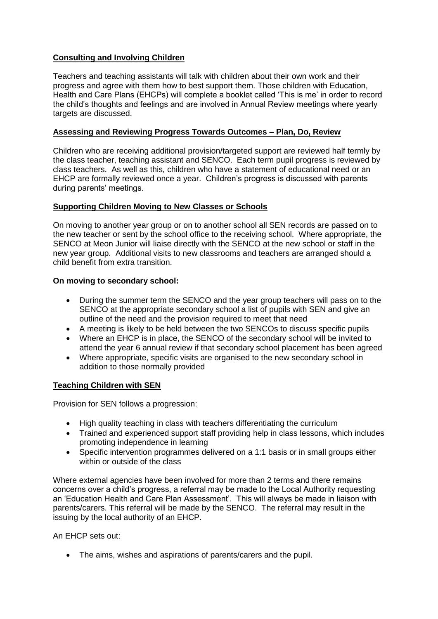# **Consulting and Involving Children**

Teachers and teaching assistants will talk with children about their own work and their progress and agree with them how to best support them. Those children with Education, Health and Care Plans (EHCPs) will complete a booklet called 'This is me' in order to record the child's thoughts and feelings and are involved in Annual Review meetings where yearly targets are discussed.

### **Assessing and Reviewing Progress Towards Outcomes – Plan, Do, Review**

Children who are receiving additional provision/targeted support are reviewed half termly by the class teacher, teaching assistant and SENCO. Each term pupil progress is reviewed by class teachers. As well as this, children who have a statement of educational need or an EHCP are formally reviewed once a year. Children's progress is discussed with parents during parents' meetings.

### **Supporting Children Moving to New Classes or Schools**

On moving to another year group or on to another school all SEN records are passed on to the new teacher or sent by the school office to the receiving school. Where appropriate, the SENCO at Meon Junior will liaise directly with the SENCO at the new school or staff in the new year group. Additional visits to new classrooms and teachers are arranged should a child benefit from extra transition.

### **On moving to secondary school:**

- During the summer term the SENCO and the year group teachers will pass on to the SENCO at the appropriate secondary school a list of pupils with SEN and give an outline of the need and the provision required to meet that need
- A meeting is likely to be held between the two SENCOs to discuss specific pupils
- Where an EHCP is in place, the SENCO of the secondary school will be invited to attend the year 6 annual review if that secondary school placement has been agreed
- Where appropriate, specific visits are organised to the new secondary school in addition to those normally provided

### **Teaching Children with SEN**

Provision for SEN follows a progression:

- High quality teaching in class with teachers differentiating the curriculum
- Trained and experienced support staff providing help in class lessons, which includes promoting independence in learning
- Specific intervention programmes delivered on a 1:1 basis or in small groups either within or outside of the class

Where external agencies have been involved for more than 2 terms and there remains concerns over a child's progress, a referral may be made to the Local Authority requesting an 'Education Health and Care Plan Assessment'. This will always be made in liaison with parents/carers. This referral will be made by the SENCO. The referral may result in the issuing by the local authority of an EHCP.

An EHCP sets out:

• The aims, wishes and aspirations of parents/carers and the pupil.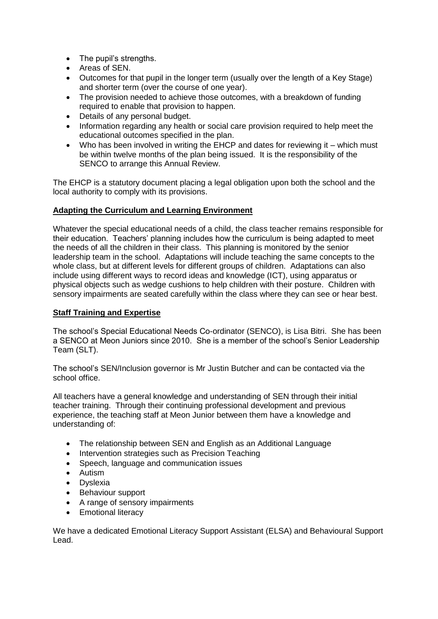- The pupil's strengths.
- Areas of SEN.
- Outcomes for that pupil in the longer term (usually over the length of a Key Stage) and shorter term (over the course of one year).
- The provision needed to achieve those outcomes, with a breakdown of funding required to enable that provision to happen.
- Details of any personal budget.
- Information regarding any health or social care provision required to help meet the educational outcomes specified in the plan.
- Who has been involved in writing the EHCP and dates for reviewing it which must be within twelve months of the plan being issued. It is the responsibility of the SENCO to arrange this Annual Review.

The EHCP is a statutory document placing a legal obligation upon both the school and the local authority to comply with its provisions.

## **Adapting the Curriculum and Learning Environment**

Whatever the special educational needs of a child, the class teacher remains responsible for their education. Teachers' planning includes how the curriculum is being adapted to meet the needs of all the children in their class. This planning is monitored by the senior leadership team in the school. Adaptations will include teaching the same concepts to the whole class, but at different levels for different groups of children. Adaptations can also include using different ways to record ideas and knowledge (ICT), using apparatus or physical objects such as wedge cushions to help children with their posture. Children with sensory impairments are seated carefully within the class where they can see or hear best.

### **Staff Training and Expertise**

The school's Special Educational Needs Co-ordinator (SENCO), is Lisa Bitri. She has been a SENCO at Meon Juniors since 2010. She is a member of the school's Senior Leadership Team (SLT).

The school's SEN/Inclusion governor is Mr Justin Butcher and can be contacted via the school office.

All teachers have a general knowledge and understanding of SEN through their initial teacher training. Through their continuing professional development and previous experience, the teaching staff at Meon Junior between them have a knowledge and understanding of:

- The relationship between SEN and English as an Additional Language
- Intervention strategies such as Precision Teaching
- Speech, language and communication issues
- Autism
- Dyslexia
- Behaviour support
- A range of sensory impairments
- Emotional literacy

We have a dedicated Emotional Literacy Support Assistant (ELSA) and Behavioural Support Lead.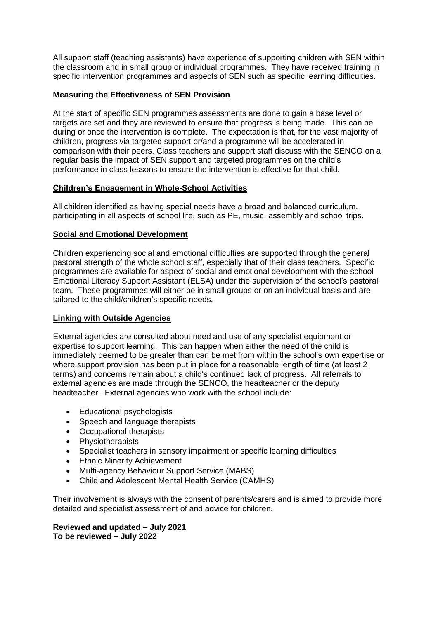All support staff (teaching assistants) have experience of supporting children with SEN within the classroom and in small group or individual programmes. They have received training in specific intervention programmes and aspects of SEN such as specific learning difficulties.

## **Measuring the Effectiveness of SEN Provision**

At the start of specific SEN programmes assessments are done to gain a base level or targets are set and they are reviewed to ensure that progress is being made. This can be during or once the intervention is complete. The expectation is that, for the vast majority of children, progress via targeted support or/and a programme will be accelerated in comparison with their peers. Class teachers and support staff discuss with the SENCO on a regular basis the impact of SEN support and targeted programmes on the child's performance in class lessons to ensure the intervention is effective for that child.

## **Children's Engagement in Whole-School Activities**

All children identified as having special needs have a broad and balanced curriculum, participating in all aspects of school life, such as PE, music, assembly and school trips.

## **Social and Emotional Development**

Children experiencing social and emotional difficulties are supported through the general pastoral strength of the whole school staff, especially that of their class teachers. Specific programmes are available for aspect of social and emotional development with the school Emotional Literacy Support Assistant (ELSA) under the supervision of the school's pastoral team. These programmes will either be in small groups or on an individual basis and are tailored to the child/children's specific needs.

### **Linking with Outside Agencies**

External agencies are consulted about need and use of any specialist equipment or expertise to support learning. This can happen when either the need of the child is immediately deemed to be greater than can be met from within the school's own expertise or where support provision has been put in place for a reasonable length of time (at least 2 terms) and concerns remain about a child's continued lack of progress. All referrals to external agencies are made through the SENCO, the headteacher or the deputy headteacher. External agencies who work with the school include:

- Educational psychologists
- Speech and language therapists
- Occupational therapists
- Physiotherapists
- Specialist teachers in sensory impairment or specific learning difficulties
- Ethnic Minority Achievement
- Multi-agency Behaviour Support Service (MABS)
- Child and Adolescent Mental Health Service (CAMHS)

Their involvement is always with the consent of parents/carers and is aimed to provide more detailed and specialist assessment of and advice for children.

**Reviewed and updated – July 2021 To be reviewed – July 2022**